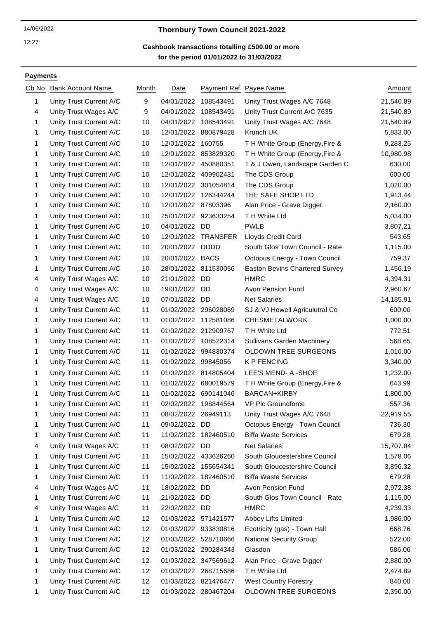12:27

# 14/06/2022 **Thornbury Town Council 2021-2022**

# **for the period 01/01/2022 to 31/03/2022 Cashbook transactions totalling £500.00 or more**

#### **Payments**

| Cb No | <b>Bank Account Name</b> | Month | Date                 |                      | Payment Ref Payee Name                | Amount    |
|-------|--------------------------|-------|----------------------|----------------------|---------------------------------------|-----------|
| 1     | Unity Trust Current A/C  | 9     | 04/01/2022           | 108543491            | Unity Trust Wages A/C 7648            | 21,540.89 |
| 4     | Unity Trust Wages A/C    | 9     | 04/01/2022           | 108543491            | Unity Trust Current A/C 7635          | 21,540.89 |
| 1     | Unity Trust Current A/C  | 10    | 04/01/2022 108543491 |                      | Unity Trust Wages A/C 7648            | 21,540.89 |
| 1     | Unity Trust Current A/C  | 10    |                      | 12/01/2022 880879428 | Krunch UK                             | 5,833.00  |
| 1     | Unity Trust Current A/C  | 10    | 12/01/2022           | 160755               | T H White Group (Energy, Fire &       | 9,283.25  |
| 1     | Unity Trust Current A/C  | 10    |                      | 12/01/2022 853829320 | TH White Group (Energy, Fire &        | 10,980.98 |
| 1     | Unity Trust Current A/C  | 10    | 12/01/2022 450880351 |                      | T & J Owen, Landscape Garden C        | 630.00    |
| 1     | Unity Trust Current A/C  | 10    | 12/01/2022 409902431 |                      | The CDS Group                         | 600.00    |
| 1     | Unity Trust Current A/C  | 10    |                      | 12/01/2022 301054814 | The CDS Group                         | 1,020.00  |
| 1     | Unity Trust Current A/C  | 10    |                      | 12/01/2022 126344244 | THE SAFE SHOP LTD                     | 1,913.44  |
| 1     | Unity Trust Current A/C  | 10    | 12/01/2022 87803396  |                      | Alan Price - Grave Digger             | 2,160.00  |
| 1     | Unity Trust Current A/C  | 10    | 25/01/2022 923633254 |                      | T H White Ltd                         | 5,034.00  |
| 1     | Unity Trust Current A/C  | 10    | 04/01/2022 DD        |                      | <b>PWLB</b>                           | 3,807.21  |
| 1     | Unity Trust Current A/C  | 10    |                      | 12/01/2022 TRANSFER  | Lloyds Credit Card                    | 543.65    |
| 1     | Unity Trust Current A/C  | 10    | 20/01/2022 DDDD      |                      | South Glos Town Council - Rate        | 1,115.00  |
| 1     | Unity Trust Current A/C  | 10    | 20/01/2022 BACS      |                      | Octopus Energy - Town Council         | 759.37    |
| 1     | Unity Trust Current A/C  | 10    |                      | 28/01/2022 811530056 | <b>Easton Bevins Chartered Survey</b> | 1,456.19  |
| 4     | Unity Trust Wages A/C    | 10    | 21/01/2022 DD        |                      | HMRC                                  | 4,394.31  |
| 4     | Unity Trust Wages A/C    | 10    | 19/01/2022 DD        |                      | Avon Pension Fund                     | 2,960.67  |
| 4     | Unity Trust Wages A/C    | 10    | 07/01/2022 DD        |                      | <b>Net Salaries</b>                   | 14,185.91 |
| 1     | Unity Trust Current A/C  | 11    | 01/02/2022 296028069 |                      | SJ & VJ Howell Agriculutral Co        | 600.00    |
| 1     | Unity Trust Current A/C  | 11    |                      | 01/02/2022 112581086 | <b>CHESMETALWORK</b>                  | 1,000.00  |
| 1     | Unity Trust Current A/C  | 11    | 01/02/2022 212909767 |                      | T H White Ltd                         | 772.51    |
| 1     | Unity Trust Current A/C  | 11    |                      | 01/02/2022 108522314 | Sullivans Garden Machinery            | 568.65    |
| 1     | Unity Trust Current A/C  | 11    | 01/02/2022 994830374 |                      | OLDOWN TREE SURGEONS                  | 1,010.00  |
| 1     | Unity Trust Current A/C  | 11    | 01/02/2022 99845056  |                      | <b>K P FENCING</b>                    | 3,340.00  |
| 1     | Unity Trust Current A/C  | 11    | 01/02/2022 814805404 |                      | LEE'S MEND- A -SHOE                   | 1,232.00  |
| 1     | Unity Trust Current A/C  | 11    | 01/02/2022 680019579 |                      | T H White Group (Energy, Fire &       | 643.99    |
| 1     | Unity Trust Current A/C  | 11    | 01/02/2022 690141046 |                      | BARCAN+KIRBY                          | 1,800.00  |
| 1     | Unity Trust Current A/C  | 11    |                      | 02/02/2022 198844564 | VP Plc Groundforce                    | 557.36    |
|       | Unity Trust Current A/C  | 11    | 08/02/2022 26949113  |                      | Unity Trust Wages A/C 7648            | 22,919.55 |
| 1     | Unity Trust Current A/C  | 11    | 09/02/2022 DD        |                      | Octopus Energy - Town Council         | 736.30    |
| 1     | Unity Trust Current A/C  | 11    |                      | 11/02/2022 182460510 | <b>Biffa Waste Services</b>           | 679.28    |
| 4     | Unity Trust Wages A/C    | 11    | 08/02/2022 DD        |                      | <b>Net Salaries</b>                   | 15,707.84 |
| 1     | Unity Trust Current A/C  | 11    |                      | 15/02/2022 433626260 | South Gloucestershire Council         | 1,578.06  |
| 1     | Unity Trust Current A/C  | 11    | 15/02/2022           | 155654341            | South Gloucestershire Council         | 3,896.32  |
| 1     | Unity Trust Current A/C  | 11    |                      | 11/02/2022 182460510 | <b>Biffa Waste Services</b>           | 679.28    |
| 4     | Unity Trust Wages A/C    | 11    | 18/02/2022 DD        |                      | Avon Pension Fund                     | 2,972.38  |
| 1     | Unity Trust Current A/C  | 11    | 21/02/2022           | DD                   | South Glos Town Council - Rate        | 1,115.00  |
| 4     | Unity Trust Wages A/C    | 11    | 22/02/2022 DD        |                      | <b>HMRC</b>                           | 4,239.33  |
| 1     | Unity Trust Current A/C  | 12    | 01/03/2022 571421577 |                      | Abbey Lifts Limited                   | 1,986.00  |
| 1     | Unity Trust Current A/C  | 12    | 01/03/2022 933830816 |                      | Ecotricity (gas) - Town Hall          | 668.76    |
| 1     | Unity Trust Current A/C  | 12    | 01/03/2022 528710666 |                      | <b>National Security Group</b>        | 522.00    |
| 1     | Unity Trust Current A/C  | 12    |                      | 01/03/2022 290284343 | Glasdon                               | 586.06    |
| 1     | Unity Trust Current A/C  | 12    |                      | 01/03/2022 347569612 | Alan Price - Grave Digger             | 2,880.00  |
| 1     | Unity Trust Current A/C  | 12    |                      | 01/03/2022 268715686 | T H White Ltd                         | 2,474.89  |
| 1     | Unity Trust Current A/C  | 12    | 01/03/2022 821476477 |                      | <b>West Country Forestry</b>          | 840.00    |
| 1     | Unity Trust Current A/C  | 12    | 01/03/2022 280467204 |                      | OLDOWN TREE SURGEONS                  | 2,390.00  |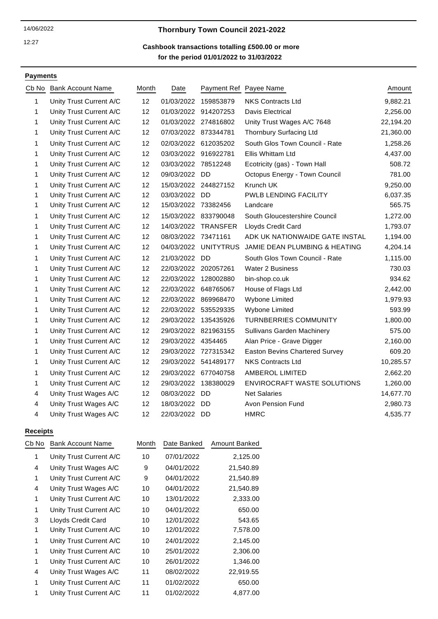12:27

# 14/06/2022 **Thornbury Town Council 2021-2022**

#### **for the period 01/01/2022 to 31/03/2022 Cashbook transactions totalling £500.00 or more**

# **Payments**

| Cb No | <b>Bank Account Name</b> | Month | Date                 |                      | Payment Ref Payee Name                | Amount    |
|-------|--------------------------|-------|----------------------|----------------------|---------------------------------------|-----------|
| 1     | Unity Trust Current A/C  | 12    | 01/03/2022           | 159853879            | <b>NKS Contracts Ltd</b>              | 9,882.21  |
| 1     | Unity Trust Current A/C  | 12    |                      | 01/03/2022 914207253 | <b>Davis Electrical</b>               | 2,256.00  |
| 1     | Unity Trust Current A/C  | 12    |                      | 01/03/2022 274816802 | Unity Trust Wages A/C 7648            | 22,194.20 |
| 1     | Unity Trust Current A/C  | 12    |                      | 07/03/2022 873344781 | Thornbury Surfacing Ltd               | 21,360.00 |
| 1     | Unity Trust Current A/C  | 12    |                      | 02/03/2022 612035202 | South Glos Town Council - Rate        | 1,258.26  |
| 1     | Unity Trust Current A/C  | 12    | 03/03/2022 916922781 |                      | Ellis Whittam Ltd                     | 4,437.00  |
| 1     | Unity Trust Current A/C  | 12    | 03/03/2022 78512248  |                      | Ecotricity (gas) - Town Hall          | 508.72    |
| 1     | Unity Trust Current A/C  | 12    | 09/03/2022 DD        |                      | Octopus Energy - Town Council         | 781.00    |
| 1     | Unity Trust Current A/C  | 12    |                      | 15/03/2022 244827152 | Krunch UK                             | 9,250.00  |
| 1     | Unity Trust Current A/C  | 12    | 03/03/2022 DD        |                      | PWLB LENDING FACILITY                 | 6,037.35  |
| 1     | Unity Trust Current A/C  | 12    | 15/03/2022 73382456  |                      | Landcare                              | 565.75    |
| 1     | Unity Trust Current A/C  | 12    |                      | 15/03/2022 833790048 | South Gloucestershire Council         | 1,272.00  |
| 1     | Unity Trust Current A/C  | 12    |                      | 14/03/2022 TRANSFER  | Lloyds Credit Card                    | 1,793.07  |
| 1     | Unity Trust Current A/C  | 12    | 08/03/2022 73471161  |                      | ADK UK NATIONWAIDE GATE INSTAL        | 1,194.00  |
| 1     | Unity Trust Current A/C  | 12    | 04/03/2022           | <b>UNITYTRUS</b>     | JAMIE DEAN PLUMBING & HEATING         | 4,204.14  |
| 1     | Unity Trust Current A/C  | 12    | 21/03/2022 DD        |                      | South Glos Town Council - Rate        | 1,115.00  |
| 1     | Unity Trust Current A/C  | 12    | 22/03/2022 202057261 |                      | Water 2 Business                      | 730.03    |
| 1     | Unity Trust Current A/C  | 12    |                      | 22/03/2022 128002880 | bin-shop.co.uk                        | 934.62    |
| 1     | Unity Trust Current A/C  | 12    |                      | 22/03/2022 648765067 | House of Flags Ltd                    | 2,442.00  |
| 1     | Unity Trust Current A/C  | 12    |                      | 22/03/2022 869968470 | Wybone Limited                        | 1,979.93  |
| 1     | Unity Trust Current A/C  | 12    | 22/03/2022           | 535529335            | Wybone Limited                        | 593.99    |
| 1     | Unity Trust Current A/C  | 12    | 29/03/2022           | 135435926            | <b>TURNBERRIES COMMUNITY</b>          | 1,800.00  |
| 1     | Unity Trust Current A/C  | 12    |                      | 29/03/2022 821963155 | <b>Sullivans Garden Machinery</b>     | 575.00    |
| 1     | Unity Trust Current A/C  | 12    | 29/03/2022 4354465   |                      | Alan Price - Grave Digger             | 2,160.00  |
| 1     | Unity Trust Current A/C  | 12    |                      | 29/03/2022 727315342 | <b>Easton Bevins Chartered Survey</b> | 609.20    |
| 1     | Unity Trust Current A/C  | 12    |                      | 29/03/2022 541489177 | <b>NKS Contracts Ltd</b>              | 10,285.57 |
| 1     | Unity Trust Current A/C  | 12    |                      | 29/03/2022 677040758 | <b>AMBEROL LIMITED</b>                | 2,662.20  |
| 1     | Unity Trust Current A/C  | 12    |                      | 29/03/2022 138380029 | <b>ENVIROCRAFT WASTE SOLUTIONS</b>    | 1,260.00  |
| 4     | Unity Trust Wages A/C    | 12    | 08/03/2022           | DD                   | <b>Net Salaries</b>                   | 14,677.70 |
| 4     | Unity Trust Wages A/C    | 12    | 18/03/2022           | DD                   | Avon Pension Fund                     | 2,980.73  |
| 4     | Unity Trust Wages A/C    | 12    | 22/03/2022 DD        |                      | <b>HMRC</b>                           | 4,535.77  |

#### **Receipts**

| Cb No | <b>Bank Account Name</b> | Month | Date Banked | <b>Amount Banked</b> |
|-------|--------------------------|-------|-------------|----------------------|
| 1     | Unity Trust Current A/C  | 10    | 07/01/2022  | 2,125.00             |
| 4     | Unity Trust Wages A/C    | 9     | 04/01/2022  | 21,540.89            |
| 1     | Unity Trust Current A/C  | 9     | 04/01/2022  | 21,540.89            |
| 4     | Unity Trust Wages A/C    | 10    | 04/01/2022  | 21,540.89            |
| 1     | Unity Trust Current A/C  | 10    | 13/01/2022  | 2,333.00             |
| 1     | Unity Trust Current A/C  | 10    | 04/01/2022  | 650.00               |
| 3     | Lloyds Credit Card       | 10    | 12/01/2022  | 543.65               |
| 1     | Unity Trust Current A/C  | 10    | 12/01/2022  | 7,578.00             |
| 1     | Unity Trust Current A/C  | 10    | 24/01/2022  | 2,145.00             |
| 1     | Unity Trust Current A/C  | 10    | 25/01/2022  | 2,306.00             |
| 1     | Unity Trust Current A/C  | 10    | 26/01/2022  | 1,346.00             |
| 4     | Unity Trust Wages A/C    | 11    | 08/02/2022  | 22,919.55            |
| 1     | Unity Trust Current A/C  | 11    | 01/02/2022  | 650.00               |
| 1     | Unity Trust Current A/C  | 11    | 01/02/2022  | 4,877.00             |